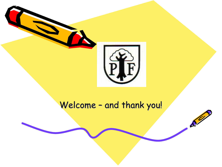

#### Welcome – and thank you!

 $\mathcal{L}^0$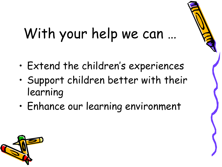## With your help we can …

- Extend the children's experiences
- Support children better with their learning
- Enhance our learning environment

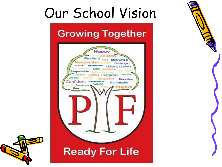#### Our School Vision



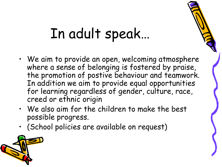#### In adult speak…

- We aim to provide an open, welcoming atmosphere where a sense of belonging is fostered by praise, the promotion of postive behaviour and teamwork. In addition we aim to provide equal opportunities for learning regardless of gender, culture, race, creed or ethnic origin
- We also aim for the children to make the best possible progress.
- (School policies are available on request)

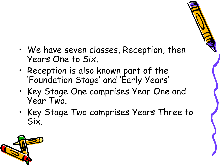- We have seven classes, Reception, then Years One to Six.
- Reception is also known part of the 'Foundation Stage' and 'Early Years'
- Key Stage One comprises Year One and Year Two.
- Key Stage Two comprises Years Three to Six.

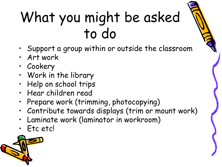## What you might be asked to do

- Support a group within or outside the classroom
- Art work
- Cookery
- Work in the library
- Help on school trips
- Hear children read
- Prepare work (trimming, photocopying)
- Contribute towards displays (trim or mount work)
- Laminate work (laminator in workroom)
- Etc etc!

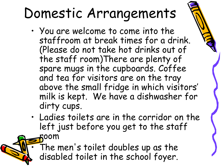### Domestic Arrangements

- You are welcome to come into the staffroom at break times for a drink. (Please do not take hot drinks out of the staff room)There are plenty of spare mugs in the cupboards. Coffee and tea for visitors are on the tray above the small fridge in which visitors' milk is kept. We have a dishwasher for dirty cups.
- Ladies toilets are in the corridor on the left just before you get to the staff

• The men's toilet doubles up as the disabled toilet in the school foyer.

room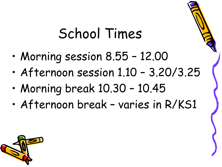#### School Times

- Morning session 8.55 12.00
- Afternoon session 1.10 3.20/3.25
- Morning break 10.30 10.45
- Afternoon break varies in R/KS1

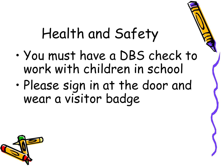#### Health and Safety

- You must have a DBS check to work with children in school
- Please sign in at the door and wear a visitor badge

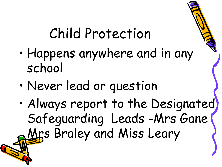#### Child Protection

- Happens anywhere and in any school
- Never lead or question
- Always report to the Designated Safeguarding Leads -Mrs Gane Mrs Braley and Miss Leary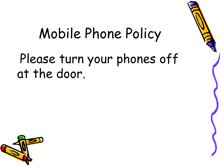## Mobile Phone Policy

#### Please turn your phones off at the door.

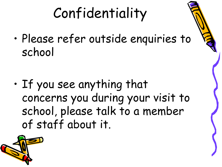## Confidentiality

• Please refer outside enquiries to school

• If you see anything that concerns you during your visit to school, please talk to a member of staff about it.

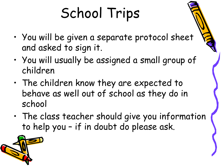## School Trips

- You will be given a separate protocol sheet and asked to sign it.
- You will usually be assigned a small group of children
- The children know they are expected to behave as well out of school as they do in school
- The class teacher should give you information to help you – if in doubt do please ask.

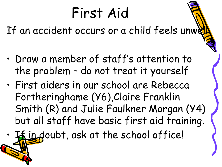#### First Aid

If an accident occurs or a child feels unwell

- Draw a member of staff's attention to the problem – do not treat it yourself
- First aiders in our school are Rebecca Fortheringhame (Y6),Claire Franklin Smith (R) and Julie Faulkner Morgan (Y4) but all staff have basic first aid training.

• If in doubt, ask at the school office!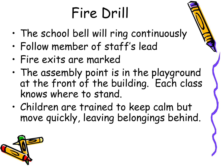## Fire Drill

- The school bell will ring continuously
- Follow member of staff's lead
- Fire exits are marked
- The assembly point is in the playground at the front of the building. Each class knows where to stand.
- Children are trained to keep calm but move quickly, leaving belongings behind.

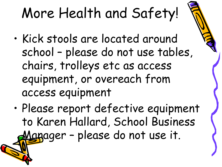## More Health and Safety!

- Kick stools are located around school – please do not use tables, chairs, trolleys etc as access equipment, or overeach from access equipment
- Please report defective equipment to Karen Hallard, School Business Manager - please do not use it.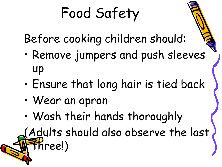## Food Safety

Before cooking children should:

- Remove jumpers and push sleeves up
- Ensure that long hair is tied back
- Wear an apron
- Wash their hands thoroughly

(Adults should also observe the last three!)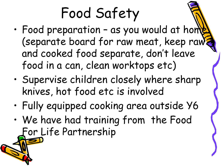## Food Safety

- Food preparation as you would at home (separate board for raw meat, keep raw and cooked food separate, don't leave food in a can, clean worktops etc)
- Supervise children closely where sharp knives, hot food etc is involved
- Fully equipped cooking area outside Y6
- We have had training from the Food For Life Partnership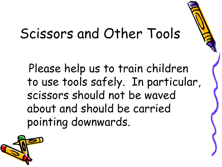#### Scissors and Other Tools

Please help us to train children to use tools safely. In particular, scissors should not be waved about and should be carried pointing downwards.

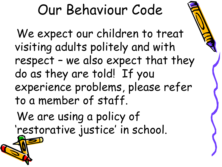#### Our Behaviour Code

We expect our children to treat visiting adults politely and with respect – we also expect that they do as they are told! If you experience problems, please refer to a member of staff.

We are using a policy of 'restorative justice' in school.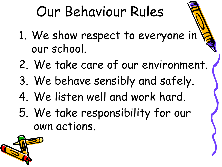## Our Behaviour Rules

- 1. We show respect to everyone in our school.
- 2. We take care of our environment.
- 3. We behave sensibly and safely.
- 4. We listen well and work hard.
- 5. We take responsibility for our own actions.

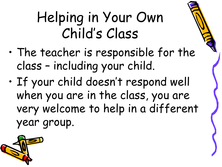#### Helping in Your Own Child's Class

- The teacher is responsible for the class – including your child.
- If your child doesn't respond well when you are in the class, you are very welcome to help in a different year group.

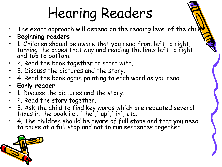## Hearing Readers

- The exact approach will depend on the reading level of the child
- **Beginning readers**
- 1. Children should be aware that you read from left to right, turning the pages that way and reading the lines left to right and top to bottom.
- 2. Read the book together to start with.
- 3. Discuss the pictures and the story.
- 4. Read the book again pointing to each word as you read.
- **Early reader**
- 1. Discuss the pictures and the story.
- 2. Read the story together.
- 3. Ask the child to find key words which are repeated several times in the book i.e.. 'the',' up',' in', etc.
- 4. The children should be aware of full stops and that you need to pause at a full stop and not to run sentences together.

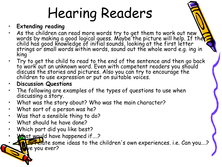## Hearing Readers

#### • **Extending reading**

- As the children can read more words try to get them to work out new words by making a good logical guess. Maybe the picture will help. If the child has good Knowledge of inifial sounds, looking at the first letter strings or small words within words, sound out the whole word e.g. ing in king
- Try to get the child to read to the end of the sentence and then go back to work out an unknown word. Even with competent readers you should discuss the stories and pictures. Also you can try to encourage the children to use expression or put on suitable voices.
- **Discussion Questions**
- The following are examples of the types of questions to use when discussing a story.
- What was the story about? Who was the main character?
- What sort of a person was he?
- Was that a sensible thing to do?
- What should he have done?
- Which part did you like best?
- **What would have happened if....?**

for that e some ideas to the children's own experiences. i.e. Can you....?  $\blacktriangleright$ e you ever?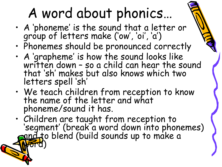## A word about phonics…

- A 'phoneme' is the sound that a letter or group of letters make ('ow', 'oi', 'a')
- Phonemes should be pronounced correctly
- A 'grapheme' is how the sound looks like written down – so a child can hear the sound that 'sh' makes but also knows which two letters spell 'sh'
- We teach children from reception to know the name of the letter and what phoneme/sound it has.
- Children are taught from reception to 'segment' (break a word down into phonemes) and to blend (build sounds up to make a word)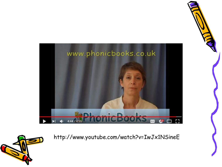



http://www.youtube.com/watch?v=IwJx1NSineE